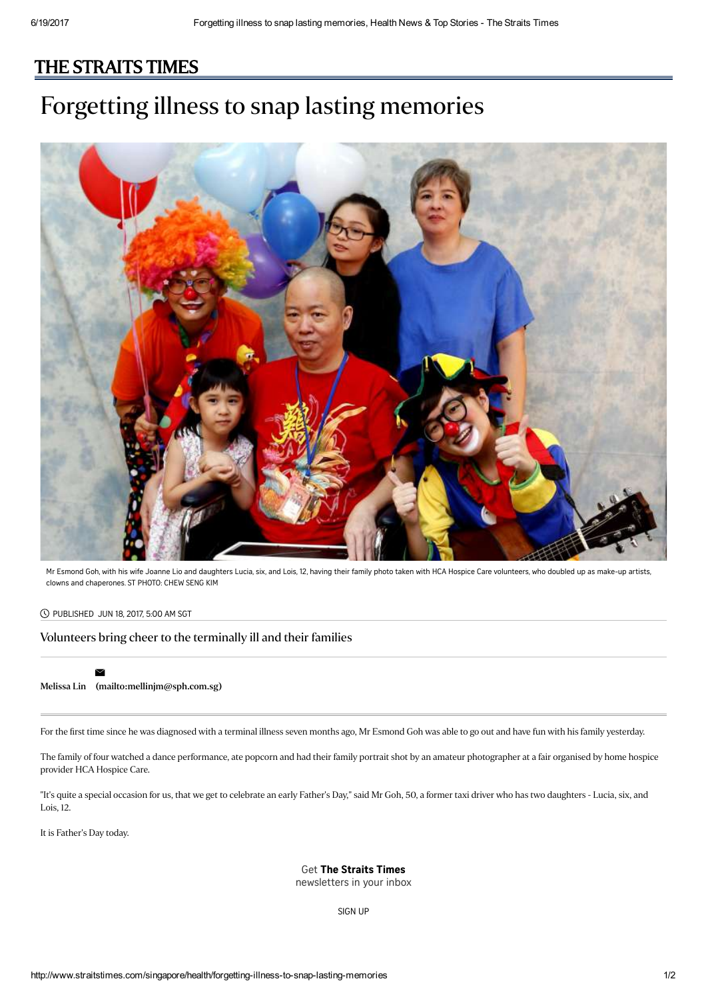## [THE STRAITS TIMES](http://www.straitstimes.com/)

# Forgetting illness to snap lasting memories



Mr Esmond Goh, with his wife Joanne Lio and daughters Lucia, six, and Lois, 12, having their family photo taken with HCA Hospice Care volunteers, who doubled up as make-up artists, clowns and chaperones. ST PHOTO: CHEW SENG KIM

#### PUBLISHED JUN 18, 2017, 5:00 AM SGT

 $\checkmark$ 

### Volunteers bring cheer to the terminally ill and their families

### [Melissa](http://www.straitstimes.com/authors/melissa-lin) Lin [\(mailto:mellinjm@sph.com.sg\)](mailto:mellinjm@sph.com.sg)

For the first time since he was diagnosed with a terminal illness seven months ago, Mr Esmond Goh was able to go out and have fun with his family yesterday.

The family of four watched a dance performance, ate popcorn and had their family portrait shot by an amateur photographer at a fair organised by home hospice provider HCA Hospice Care.

"It's quite a special occasion for us, that we get to celebrate an early Father's Day," said Mr Goh, 50, a former taxi driver who has two daughters - Lucia, six, and Lois, 12.

It is Father's Day today.

Get The Straits Times

newsletters in your inbox

[SIGN](http://www.straitstimes.com/newsletter-signup) UP